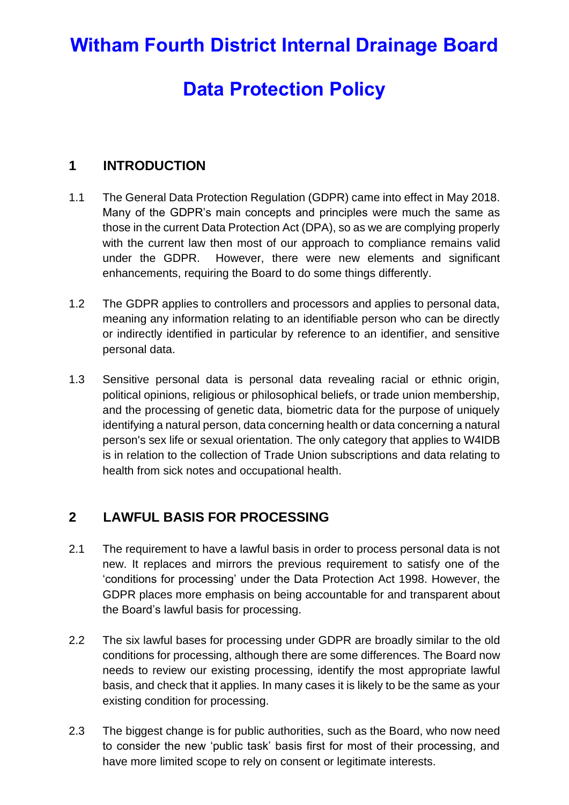# **Witham Fourth District Internal Drainage Board**

# **Data Protection Policy**

# **1 INTRODUCTION**

- 1.1 The General Data Protection Regulation (GDPR) came into effect in May 2018. Many of the GDPR's main concepts and principles were much the same as those in the current Data Protection Act (DPA), so as we are complying properly with the current law then most of our approach to compliance remains valid under the GDPR. However, there were new elements and significant enhancements, requiring the Board to do some things differently.
- 1.2 The GDPR applies to controllers and processors and applies to personal data, meaning any information relating to an identifiable person who can be directly or indirectly identified in particular by reference to an identifier, and sensitive personal data.
- 1.3 Sensitive personal data is personal data revealing racial or ethnic origin, political opinions, religious or philosophical beliefs, or trade union membership, and the processing of genetic data, biometric data for the purpose of uniquely identifying a natural person, data concerning health or data concerning a natural person's sex life or sexual orientation. The only category that applies to W4IDB is in relation to the collection of Trade Union subscriptions and data relating to health from sick notes and occupational health.

# **2 LAWFUL BASIS FOR PROCESSING**

- 2.1 The requirement to have a lawful basis in order to process personal data is not new. It replaces and mirrors the previous requirement to satisfy one of the 'conditions for processing' under the Data Protection Act 1998. However, the GDPR places more emphasis on being accountable for and transparent about the Board's lawful basis for processing.
- 2.2 The six lawful bases for processing under GDPR are broadly similar to the old conditions for processing, although there are some differences. The Board now needs to review our existing processing, identify the most appropriate lawful basis, and check that it applies. In many cases it is likely to be the same as your existing condition for processing.
- 2.3 The biggest change is for public authorities, such as the Board, who now need to consider the new 'public task' basis first for most of their processing, and have more limited scope to rely on consent or legitimate interests.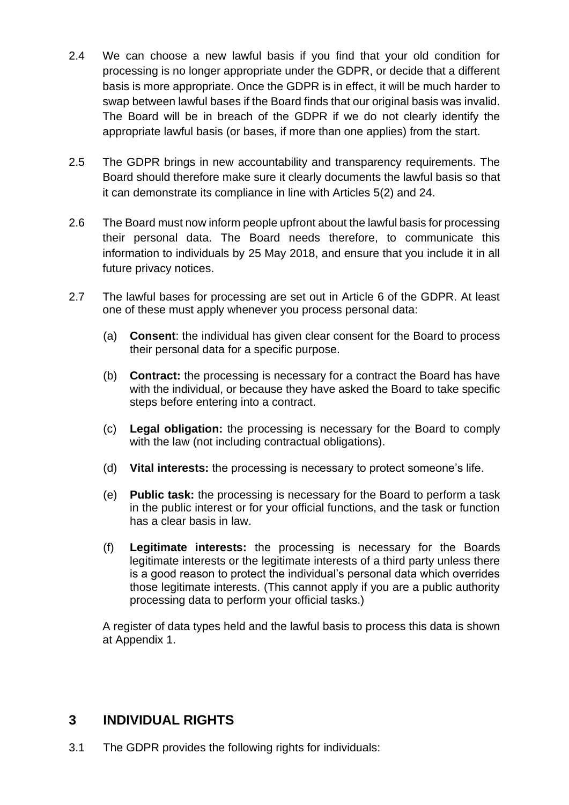- 2.4 We can choose a new lawful basis if you find that your old condition for processing is no longer appropriate under the GDPR, or decide that a different basis is more appropriate. Once the GDPR is in effect, it will be much harder to swap between lawful bases if the Board finds that our original basis was invalid. The Board will be in breach of the GDPR if we do not clearly identify the appropriate lawful basis (or bases, if more than one applies) from the start.
- 2.5 The GDPR brings in new accountability and transparency requirements. The Board should therefore make sure it clearly documents the lawful basis so that it can demonstrate its compliance in line with Articles 5(2) and 24.
- 2.6 The Board must now inform people upfront about the lawful basis for processing their personal data. The Board needs therefore, to communicate this information to individuals by 25 May 2018, and ensure that you include it in all future privacy notices.
- 2.7 The lawful bases for processing are set out in Article 6 of the GDPR. At least one of these must apply whenever you process personal data:
	- (a) **Consent**: the individual has given clear consent for the Board to process their personal data for a specific purpose.
	- (b) **Contract:** the processing is necessary for a contract the Board has have with the individual, or because they have asked the Board to take specific steps before entering into a contract.
	- (c) **Legal obligation:** the processing is necessary for the Board to comply with the law (not including contractual obligations).
	- (d) **Vital interests:** the processing is necessary to protect someone's life.
	- (e) **Public task:** the processing is necessary for the Board to perform a task in the public interest or for your official functions, and the task or function has a clear basis in law.
	- (f) **Legitimate interests:** the processing is necessary for the Boards legitimate interests or the legitimate interests of a third party unless there is a good reason to protect the individual's personal data which overrides those legitimate interests. (This cannot apply if you are a public authority processing data to perform your official tasks.)

A register of data types held and the lawful basis to process this data is shown at Appendix 1.

# **3 INDIVIDUAL RIGHTS**

3.1 The GDPR provides the following rights for individuals: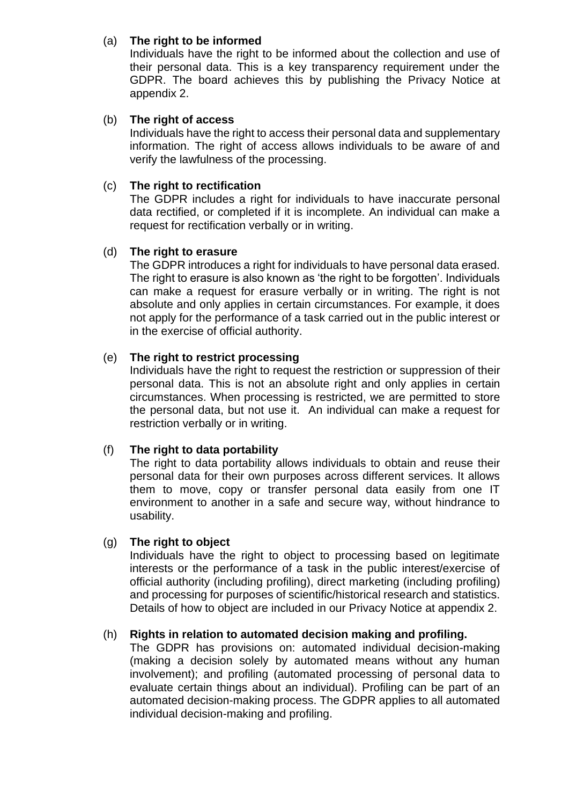### (a) **The right to be informed**

Individuals have the right to be informed about the collection and use of their personal data. This is a key transparency requirement under the GDPR. The board achieves this by publishing the Privacy Notice at appendix 2.

### (b) **The right of access**

Individuals have the right to access their personal data and supplementary information. The right of access allows individuals to be aware of and verify the lawfulness of the processing.

### (c) **The right to rectification**

The GDPR includes a right for individuals to have inaccurate personal data rectified, or completed if it is incomplete. An individual can make a request for rectification verbally or in writing.

### (d) **The right to erasure**

The GDPR introduces a right for individuals to have personal data erased. The right to erasure is also known as 'the right to be forgotten'. Individuals can make a request for erasure verbally or in writing. The right is not absolute and only applies in certain circumstances. For example, it does not apply for the performance of a task carried out in the public interest or in the exercise of official authority.

### (e) **The right to restrict processing**

Individuals have the right to request the restriction or suppression of their personal data. This is not an absolute right and only applies in certain circumstances. When processing is restricted, we are permitted to store the personal data, but not use it. An individual can make a request for restriction verbally or in writing.

### (f) **The right to data portability**

The right to data portability allows individuals to obtain and reuse their personal data for their own purposes across different services. It allows them to move, copy or transfer personal data easily from one IT environment to another in a safe and secure way, without hindrance to usability.

### (g) **The right to object**

Individuals have the right to object to processing based on legitimate interests or the performance of a task in the public interest/exercise of official authority (including profiling), direct marketing (including profiling) and processing for purposes of scientific/historical research and statistics. Details of how to object are included in our Privacy Notice at appendix 2.

### (h) **Rights in relation to automated decision making and profiling.**

The GDPR has provisions on: automated individual decision-making (making a decision solely by automated means without any human involvement); and profiling (automated processing of personal data to evaluate certain things about an individual). Profiling can be part of an automated decision-making process. The GDPR applies to all automated individual decision-making and profiling.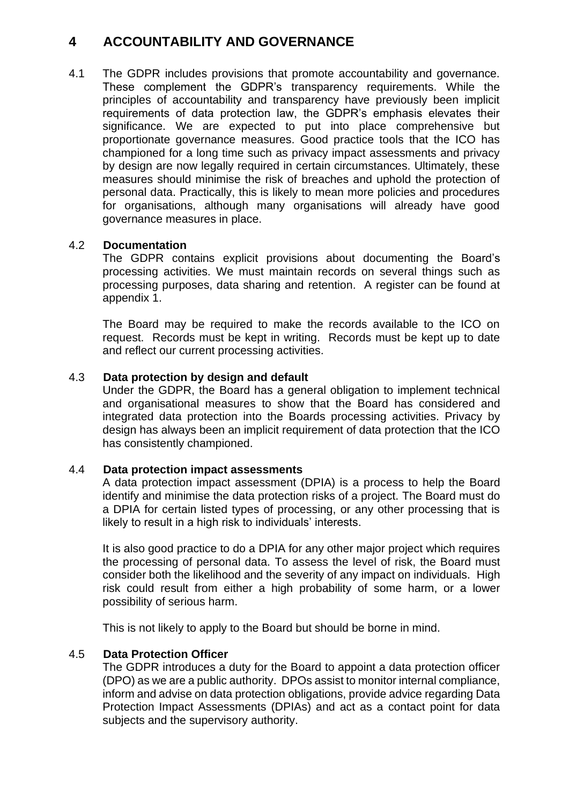# **4 ACCOUNTABILITY AND GOVERNANCE**

4.1 The GDPR includes provisions that promote accountability and governance. These complement the GDPR's transparency requirements. While the principles of accountability and transparency have previously been implicit requirements of data protection law, the GDPR's emphasis elevates their significance. We are expected to put into place comprehensive but proportionate governance measures. Good practice tools that the ICO has championed for a long time such as privacy impact assessments and privacy by design are now legally required in certain circumstances. Ultimately, these measures should minimise the risk of breaches and uphold the protection of personal data. Practically, this is likely to mean more policies and procedures for organisations, although many organisations will already have good governance measures in place.

### 4.2 **Documentation**

The GDPR contains explicit provisions about documenting the Board's processing activities. We must maintain records on several things such as processing purposes, data sharing and retention. A register can be found at appendix 1.

The Board may be required to make the records available to the ICO on request. Records must be kept in writing. Records must be kept up to date and reflect our current processing activities.

### 4.3 **Data protection by design and default**

Under the GDPR, the Board has a general obligation to implement technical and organisational measures to show that the Board has considered and integrated data protection into the Boards processing activities. Privacy by design has always been an implicit requirement of data protection that the ICO has consistently championed.

### 4.4 **Data protection impact assessments**

A data protection impact assessment (DPIA) is a process to help the Board identify and minimise the data protection risks of a project. The Board must do a DPIA for certain listed types of processing, or any other processing that is likely to result in a high risk to individuals' interests.

It is also good practice to do a DPIA for any other major project which requires the processing of personal data. To assess the level of risk, the Board must consider both the likelihood and the severity of any impact on individuals. High risk could result from either a high probability of some harm, or a lower possibility of serious harm.

This is not likely to apply to the Board but should be borne in mind.

### 4.5 **Data Protection Officer**

The GDPR introduces a duty for the Board to appoint a data protection officer (DPO) as we are a public authority. DPOs assist to monitor internal compliance, inform and advise on data protection obligations, provide advice regarding Data Protection Impact Assessments (DPIAs) and act as a contact point for data subjects and the supervisory authority.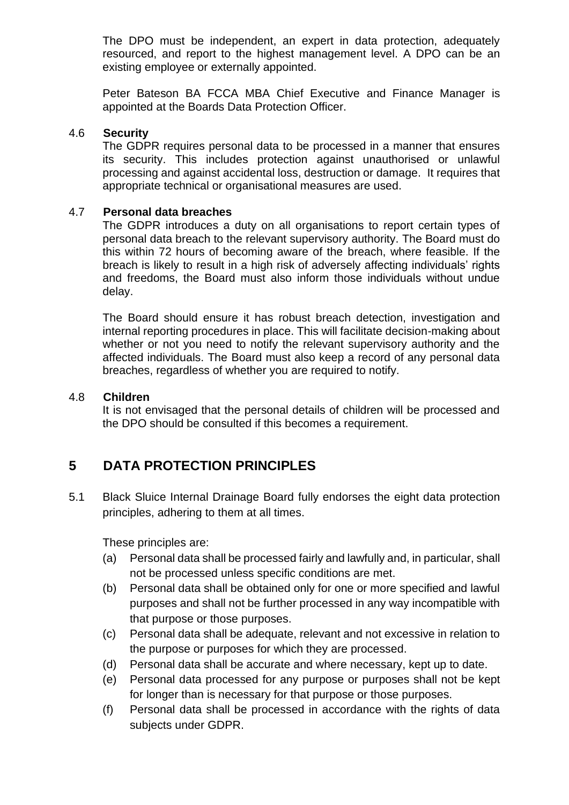The DPO must be independent, an expert in data protection, adequately resourced, and report to the highest management level. A DPO can be an existing employee or externally appointed.

Peter Bateson BA FCCA MBA Chief Executive and Finance Manager is appointed at the Boards Data Protection Officer.

#### 4.6 **Security**

The GDPR requires personal data to be processed in a manner that ensures its security. This includes protection against unauthorised or unlawful processing and against accidental loss, destruction or damage. It requires that appropriate technical or organisational measures are used.

#### 4.7 **Personal data breaches**

The GDPR introduces a duty on all organisations to report certain types of personal data breach to the relevant supervisory authority. The Board must do this within 72 hours of becoming aware of the breach, where feasible. If the breach is likely to result in a high risk of adversely affecting individuals' rights and freedoms, the Board must also inform those individuals without undue delay.

The Board should ensure it has robust breach detection, investigation and internal reporting procedures in place. This will facilitate decision-making about whether or not you need to notify the relevant supervisory authority and the affected individuals. The Board must also keep a record of any personal data breaches, regardless of whether you are required to notify.

#### 4.8 **Children**

It is not envisaged that the personal details of children will be processed and the DPO should be consulted if this becomes a requirement.

# **5 DATA PROTECTION PRINCIPLES**

5.1 Black Sluice Internal Drainage Board fully endorses the eight data protection principles, adhering to them at all times.

These principles are:

- (a) Personal data shall be processed fairly and lawfully and, in particular, shall not be processed unless specific conditions are met.
- (b) Personal data shall be obtained only for one or more specified and lawful purposes and shall not be further processed in any way incompatible with that purpose or those purposes.
- (c) Personal data shall be adequate, relevant and not excessive in relation to the purpose or purposes for which they are processed.
- (d) Personal data shall be accurate and where necessary, kept up to date.
- (e) Personal data processed for any purpose or purposes shall not be kept for longer than is necessary for that purpose or those purposes.
- (f) Personal data shall be processed in accordance with the rights of data subjects under GDPR.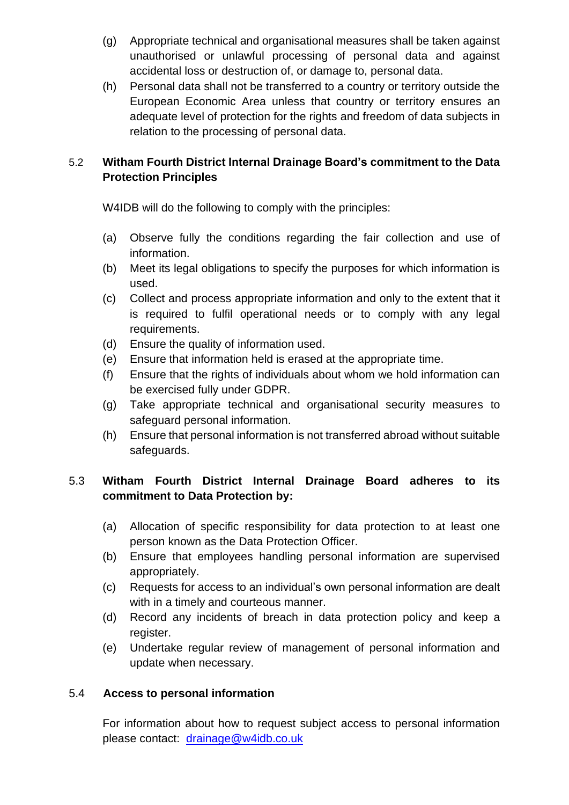- (g) Appropriate technical and organisational measures shall be taken against unauthorised or unlawful processing of personal data and against accidental loss or destruction of, or damage to, personal data.
- (h) Personal data shall not be transferred to a country or territory outside the European Economic Area unless that country or territory ensures an adequate level of protection for the rights and freedom of data subjects in relation to the processing of personal data.

## 5.2 **Witham Fourth District Internal Drainage Board's commitment to the Data Protection Principles**

W4IDB will do the following to comply with the principles:

- (a) Observe fully the conditions regarding the fair collection and use of information.
- (b) Meet its legal obligations to specify the purposes for which information is used.
- (c) Collect and process appropriate information and only to the extent that it is required to fulfil operational needs or to comply with any legal requirements.
- (d) Ensure the quality of information used.
- (e) Ensure that information held is erased at the appropriate time.
- (f) Ensure that the rights of individuals about whom we hold information can be exercised fully under GDPR.
- (g) Take appropriate technical and organisational security measures to safeguard personal information.
- (h) Ensure that personal information is not transferred abroad without suitable safeguards.

## 5.3 **Witham Fourth District Internal Drainage Board adheres to its commitment to Data Protection by:**

- (a) Allocation of specific responsibility for data protection to at least one person known as the Data Protection Officer.
- (b) Ensure that employees handling personal information are supervised appropriately.
- (c) Requests for access to an individual's own personal information are dealt with in a timely and courteous manner.
- (d) Record any incidents of breach in data protection policy and keep a register.
- (e) Undertake regular review of management of personal information and update when necessary.

# 5.4 **Access to personal information**

For information about how to request subject access to personal information please contact: [drainage@](mailto:Mailbox@Blacksluiceidb.gov.uk)w4idb.co.uk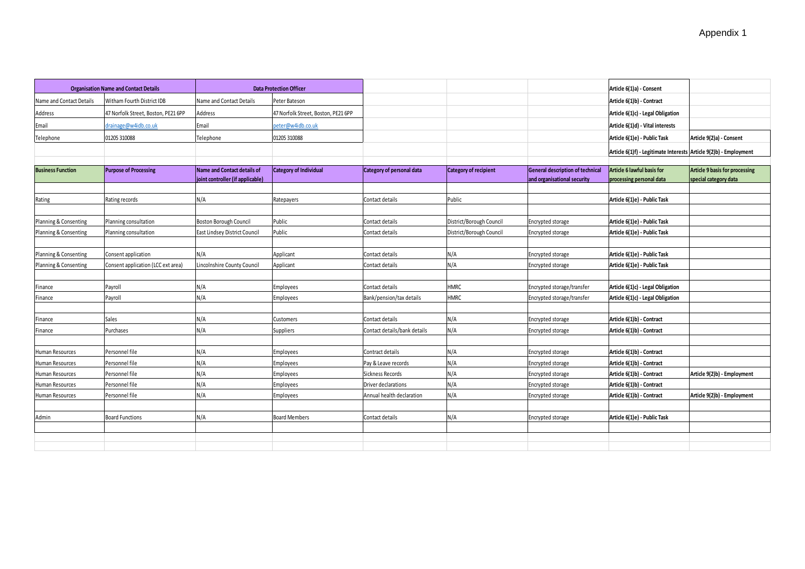| <b>Organisation Name and Contact Details</b> |                                     | <b>Data Protection Officer</b>                                  |                                     |                              |                              |                                                                        | Article 6(1)a) - Consent                                          |                                                                |
|----------------------------------------------|-------------------------------------|-----------------------------------------------------------------|-------------------------------------|------------------------------|------------------------------|------------------------------------------------------------------------|-------------------------------------------------------------------|----------------------------------------------------------------|
| Name and Contact Details                     | Witham Fourth District IDB          | Name and Contact Details                                        | Peter Bateson                       |                              |                              |                                                                        | Article 6(1)b) - Contract                                         |                                                                |
| Address                                      | 47 Norfolk Street, Boston, PE21 6PP | Address                                                         | 47 Norfolk Street. Boston. PE21 6PP |                              |                              |                                                                        | Article 6(1)c) - Legal Obligation                                 |                                                                |
| Email                                        | drainage@w4idb.co.uk                | Email                                                           | peter@w4idb.co.uk                   |                              |                              |                                                                        | Article 6(1)d) - Vital interests                                  |                                                                |
| Telephone                                    | 01205 310088                        | Telephone                                                       | 01205 310088                        |                              |                              |                                                                        | Article 6(1)e) - Public Task                                      | Article 9(2)a) - Consent                                       |
|                                              |                                     |                                                                 |                                     |                              |                              |                                                                        | Article 6(1)f) - Legitimate Interests Article 9(2)b) - Employment |                                                                |
|                                              |                                     |                                                                 |                                     |                              |                              |                                                                        |                                                                   |                                                                |
| <b>Business Function</b>                     | <b>Purpose of Processing</b>        | Name and Contact details of<br>joint controller (if applicable) | <b>Category of Individual</b>       | Category of personal data    | <b>Category of recipient</b> | <b>General description of technical</b><br>and organisational security | Article 6 lawful basis for<br>processing personal data            | <b>Article 9 basis for processing</b><br>special category data |
|                                              |                                     |                                                                 |                                     |                              |                              |                                                                        |                                                                   |                                                                |
| Rating                                       | Rating records                      | ۷/A                                                             | Ratepayers                          | Contact details              | Public                       |                                                                        | Article 6(1)e) - Public Task                                      |                                                                |
|                                              |                                     |                                                                 |                                     |                              |                              |                                                                        |                                                                   |                                                                |
| Planning & Consenting                        | Planning consultation               | Boston Borough Council                                          | Public                              | Contact details              | District/Borough Council     | Encrypted storage                                                      | Article 6(1)e) - Public Task                                      |                                                                |
| Planning & Consenting                        | Planning consultation               | East Lindsey District Council                                   | Public                              | Contact details              | District/Borough Council     | Encrypted storage                                                      | Article 6(1)e) - Public Task                                      |                                                                |
|                                              |                                     |                                                                 |                                     |                              |                              |                                                                        |                                                                   |                                                                |
| Planning & Consenting                        | Consent application                 | ۷/A                                                             | Applicant                           | Contact details              | N/A                          | Encrypted storage                                                      | Article 6(1)e) - Public Task                                      |                                                                |
| Planning & Consenting                        | onsent application (LCC ext area)   | incolnshire County Council                                      | Applicant                           | Contact details              | N/A                          | Encrypted storage                                                      | Article 6(1)e) - Public Task                                      |                                                                |
|                                              |                                     |                                                                 |                                     |                              |                              |                                                                        |                                                                   |                                                                |
| Finance                                      | Payroll                             | ۷/A                                                             | Employees                           | Contact details              | <b>HMRC</b>                  | Encrypted storage/transfer                                             | Article 6(1)c) - Legal Obligation                                 |                                                                |
| Finance                                      | Payroll                             | ۷/A                                                             | Employees                           | Bank/pension/tax details     | <b>HMRC</b>                  | Encrypted storage/transfer                                             | Article 6(1)c) - Legal Obligation                                 |                                                                |
|                                              |                                     |                                                                 |                                     |                              |                              |                                                                        |                                                                   |                                                                |
| Finance                                      | Sales                               | ۷/A                                                             | Customers                           | Contact details              | N/A                          | Encrypted storage                                                      | Article 6(1)b) - Contract                                         |                                                                |
| Finance                                      | Purchases                           | ۷/A                                                             | Suppliers                           | Contact details/bank details | N/A                          | Encrypted storage                                                      | Article 6(1)b) - Contract                                         |                                                                |
|                                              |                                     |                                                                 |                                     |                              |                              |                                                                        |                                                                   |                                                                |
| Human Resources                              | Personnel file                      | N/A                                                             | Employees                           | Contract details             | N/A                          | Encrypted storage                                                      | Article 6(1)b) - Contract                                         |                                                                |
| Human Resources                              | Personnel file                      | ۷/A                                                             | <b>Employees</b>                    | Pay & Leave records          | N/A                          | Encrypted storage                                                      | Article 6(1)b) - Contract                                         |                                                                |
| Human Resources                              | Personnel file                      | ۷/A                                                             | Employees                           | Sickness Records             | N/A                          | Encrypted storage                                                      | Article 6(1)b) - Contract                                         | Article 9(2)b) - Employment                                    |
| Human Resources                              | Personnel file                      | ۷/A                                                             | Employees                           | Driver declarations          | N/A                          | Encrypted storage                                                      | Article 6(1)b) - Contract                                         |                                                                |
| Human Resources                              | Personnel file                      | ۷/A                                                             | Employees                           | Annual health declaration    | N/A                          | Encrypted storage                                                      | Article 6(1)b) - Contract                                         | Article 9(2)b) - Employment                                    |
|                                              |                                     |                                                                 |                                     |                              |                              |                                                                        |                                                                   |                                                                |
| Admin                                        | <b>Board Functions</b>              | N/A                                                             | <b>Board Members</b>                | Contact details              | N/A                          | Encrypted storage                                                      | Article 6(1)e) - Public Task                                      |                                                                |
|                                              |                                     |                                                                 |                                     |                              |                              |                                                                        |                                                                   |                                                                |
|                                              |                                     |                                                                 |                                     |                              |                              |                                                                        |                                                                   |                                                                |
|                                              |                                     |                                                                 |                                     |                              |                              |                                                                        |                                                                   |                                                                |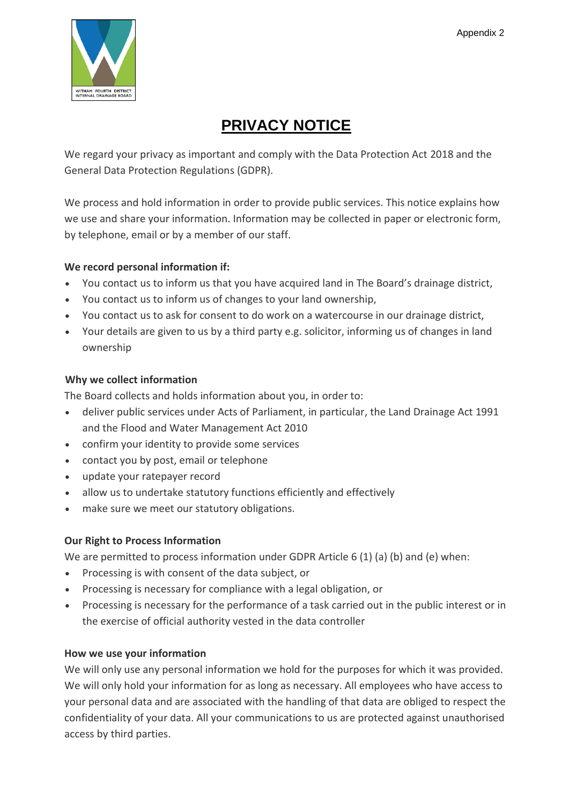

# **PRIVACY NOTICE**

We regard your privacy as important and comply with the Data Protection Act 2018 and the General Data Protection Regulations (GDPR).

We process and hold information in order to provide public services. This notice explains how we use and share your information. Information may be collected in paper or electronic form, by telephone, email or by a member of our staff.

## **We record personal information if:**

- You contact us to inform us that you have acquired land in The Board's drainage district,
- You contact us to inform us of changes to your land ownership,
- You contact us to ask for consent to do work on a watercourse in our drainage district,
- Your details are given to us by a third party e.g. solicitor, informing us of changes in land ownership

## **Why we collect information**

The Board collects and holds information about you, in order to:

- deliver public services under Acts of Parliament, in particular, the Land Drainage Act 1991 and the Flood and Water Management Act 2010
- confirm your identity to provide some services
- contact you by post, email or telephone
- update your ratepayer record
- allow us to undertake statutory functions efficiently and effectively
- make sure we meet our statutory obligations.

## **Our Right to Process Information**

We are permitted to process information under GDPR Article 6 (1) (a) (b) and (e) when:

- Processing is with consent of the data subject, or
- Processing is necessary for compliance with a legal obligation, or
- Processing is necessary for the performance of a task carried out in the public interest or in the exercise of official authority vested in the data controller

## **How we use your information**

We will only use any personal information we hold for the purposes for which it was provided. We will only hold your information for as long as necessary. All employees who have access to your personal data and are associated with the handling of that data are obliged to respect the confidentiality of your data. All your communications to us are protected against unauthorised access by third parties.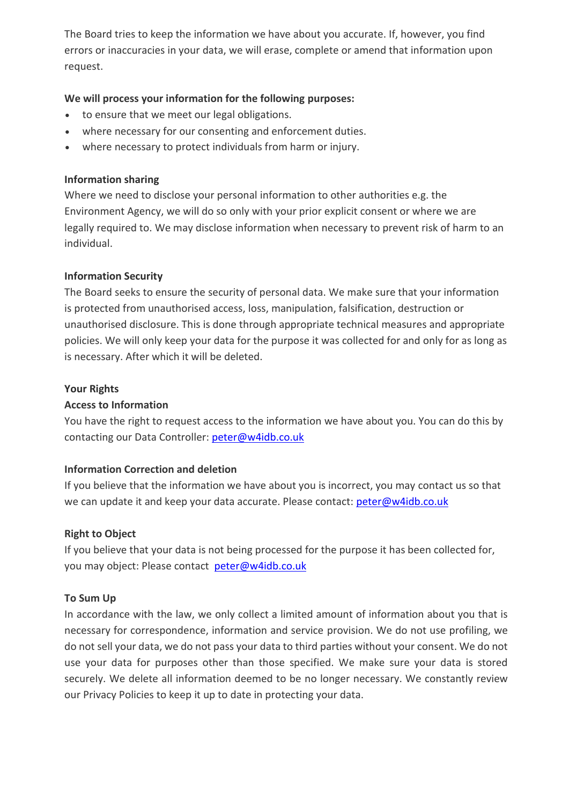The Board tries to keep the information we have about you accurate. If, however, you find errors or inaccuracies in your data, we will erase, complete or amend that information upon request.

### **We will process your information for the following purposes:**

- to ensure that we meet our legal obligations.
- where necessary for our consenting and enforcement duties.
- where necessary to protect individuals from harm or injury.

### **Information sharing**

Where we need to disclose your personal information to other authorities e.g. the Environment Agency, we will do so only with your prior explicit consent or where we are legally required to. We may disclose information when necessary to prevent risk of harm to an individual.

### **Information Security**

The Board seeks to ensure the security of personal data. We make sure that your information is protected from unauthorised access, loss, manipulation, falsification, destruction or unauthorised disclosure. This is done through appropriate technical measures and appropriate policies. We will only keep your data for the purpose it was collected for and only for as long as is necessary. After which it will be deleted.

### **Your Rights**

### **Access to Information**

You have the right to request access to the information we have about you. You can do this by contacting our Data Controller: [peter@w4idb.co.uk](mailto:peter@w4idb.co.uk)

### **Information Correction and deletion**

If you believe that the information we have about you is incorrect, you may contact us so that we can update it and keep your data accurate. Please contact: [peter@w4idb.co.uk](mailto:peter@w4idb.co.uk)

### **Right to Object**

If you believe that your data is not being processed for the purpose it has been collected for, you may object: Please contact [peter@w4idb.co.uk](mailto:peter@w4idb.co.uk)

### **To Sum Up**

In accordance with the law, we only collect a limited amount of information about you that is necessary for correspondence, information and service provision. We do not use profiling, we do not sell your data, we do not pass your data to third parties without your consent. We do not use your data for purposes other than those specified. We make sure your data is stored securely. We delete all information deemed to be no longer necessary. We constantly review our Privacy Policies to keep it up to date in protecting your data.